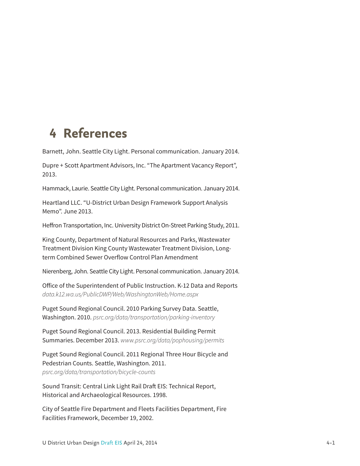## **4 References**

Barnett, John. Seattle City Light. Personal communication. January 2014.

Dupre + Scott Apartment Advisors, Inc. "The Apartment Vacancy Report", 2013.

Hammack, Laurie. Seattle City Light. Personal communication. January 2014.

Heartland LLC. "U-District Urban Design Framework Support Analysis Memo". June 2013.

Heffron Transportation, Inc. University District On-Street Parking Study, 2011.

King County, Department of Natural Resources and Parks, Wastewater Treatment Division King County Wastewater Treatment Division, Longterm Combined Sewer Overflow Control Plan Amendment

Nierenberg, John. Seattle City Light. Personal communication. January 2014.

Office of the Superintendent of Public Instruction. K-12 Data and Reports *data.k12.wa.us/PublicDWP/Web/WashingtonWeb/Home.aspx*

Puget Sound Regional Council. 2010 Parking Survey Data. Seattle, Washington. 2010. *psrc.org/data/transportation/parking-inventory*

Puget Sound Regional Council. 2013. Residential Building Permit Summaries. December 2013. *www.psrc.org/data/pophousing/permits* 

Puget Sound Regional Council. 2011 Regional Three Hour Bicycle and Pedestrian Counts. Seattle, Washington. 2011. *psrc.org/data/transportation/bicycle-counts*

Sound Transit: Central Link Light Rail Draft EIS: Technical Report, Historical and Archaeological Resources. 1998.

City of Seattle Fire Department and Fleets Facilities Department, Fire Facilities Framework, December 19, 2002.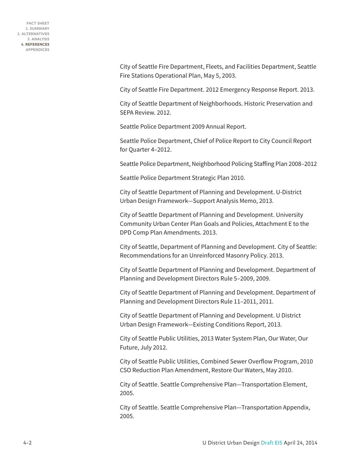**FACT SHEET 1. SUMMARY 2. ALTERNATIVES 3. ANALYSIS 4. REFERENCES APPENDICES**

> City of Seattle Fire Department, Fleets, and Facilities Department, Seattle Fire Stations Operational Plan, May 5, 2003.

> City of Seattle Fire Department. 2012 Emergency Response Report. 2013.

City of Seattle Department of Neighborhoods. Historic Preservation and SEPA Review. 2012.

Seattle Police Department 2009 Annual Report.

Seattle Police Department, Chief of Police Report to City Council Report for Quarter 4–2012.

Seattle Police Department, Neighborhood Policing Staffing Plan 2008–2012

Seattle Police Department Strategic Plan 2010.

City of Seattle Department of Planning and Development. U-District Urban Design Framework—Support Analysis Memo, 2013.

City of Seattle Department of Planning and Development. University Community Urban Center Plan Goals and Policies, Attachment E to the DPD Comp Plan Amendments. 2013.

City of Seattle, Department of Planning and Development. City of Seattle: Recommendations for an Unreinforced Masonry Policy. 2013.

City of Seattle Department of Planning and Development. Department of Planning and Development Directors Rule 5–2009, 2009.

City of Seattle Department of Planning and Development. Department of Planning and Development Directors Rule 11–2011, 2011.

City of Seattle Department of Planning and Development. U District Urban Design Framework—Existing Conditions Report, 2013.

City of Seattle Public Utilities, 2013 Water System Plan, Our Water, Our Future, July 2012.

City of Seattle Public Utilities, Combined Sewer Overflow Program, 2010 CSO Reduction Plan Amendment, Restore Our Waters, May 2010.

City of Seattle. Seattle Comprehensive Plan—Transportation Element, 2005.

City of Seattle. Seattle Comprehensive Plan—Transportation Appendix, 2005.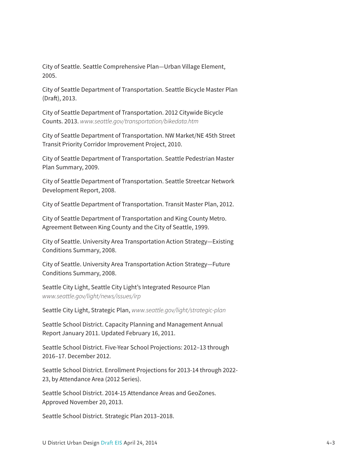City of Seattle. Seattle Comprehensive Plan—Urban Village Element, 2005.

City of Seattle Department of Transportation. Seattle Bicycle Master Plan (Draft), 2013.

City of Seattle Department of Transportation. 2012 Citywide Bicycle Counts. 2013. *www.seattle.gov/transportation/bikedata.htm*

City of Seattle Department of Transportation. NW Market/NE 45th Street Transit Priority Corridor Improvement Project, 2010.

City of Seattle Department of Transportation. Seattle Pedestrian Master Plan Summary, 2009.

City of Seattle Department of Transportation. Seattle Streetcar Network Development Report, 2008.

City of Seattle Department of Transportation. Transit Master Plan, 2012.

City of Seattle Department of Transportation and King County Metro. Agreement Between King County and the City of Seattle, 1999.

City of Seattle. University Area Transportation Action Strategy—Existing Conditions Summary, 2008.

City of Seattle. University Area Transportation Action Strategy—Future Conditions Summary, 2008.

Seattle City Light, Seattle City Light's Integrated Resource Plan *www.seattle.gov/light/news/issues/irp*

Seattle City Light, Strategic Plan, *www.seattle.gov/light/strategic-plan*

Seattle School District. Capacity Planning and Management Annual Report January 2011. Updated February 16, 2011.

Seattle School District. Five-Year School Projections: 2012–13 through 2016–17. December 2012.

Seattle School District. Enrollment Projections for 2013-14 through 2022- 23, by Attendance Area (2012 Series).

Seattle School District. 2014-15 Attendance Areas and GeoZones. Approved November 20, 2013.

Seattle School District. Strategic Plan 2013–2018.